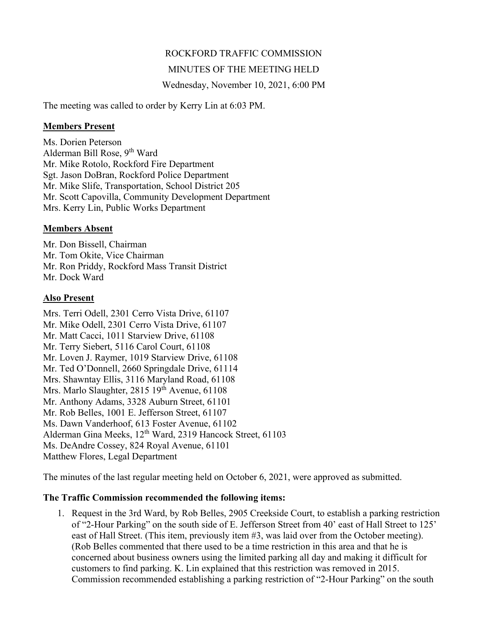# ROCKFORD TRAFFIC COMMISSION

## MINUTES OF THE MEETING HELD

Wednesday, November 10, 2021, 6:00 PM

The meeting was called to order by Kerry Lin at 6:03 PM.

#### Members Present

Ms. Dorien Peterson Alderman Bill Rose,  $9<sup>th</sup>$  Ward Mr. Mike Rotolo, Rockford Fire Department Sgt. Jason DoBran, Rockford Police Department Mr. Mike Slife, Transportation, School District 205 Mr. Scott Capovilla, Community Development Department Mrs. Kerry Lin, Public Works Department

### Members Absent

Mr. Don Bissell, Chairman Mr. Tom Okite, Vice Chairman Mr. Ron Priddy, Rockford Mass Transit District Mr. Dock Ward

### Also Present

Mrs. Terri Odell, 2301 Cerro Vista Drive, 61107 Mr. Mike Odell, 2301 Cerro Vista Drive, 61107 Mr. Matt Cacci, 1011 Starview Drive, 61108 Mr. Terry Siebert, 5116 Carol Court, 61108 Mr. Loven J. Raymer, 1019 Starview Drive, 61108 Mr. Ted O'Donnell, 2660 Springdale Drive, 61114 Mrs. Shawntay Ellis, 3116 Maryland Road, 61108 Mrs. Marlo Slaughter, 2815 19<sup>th</sup> Avenue, 61108 Mr. Anthony Adams, 3328 Auburn Street, 61101 Mr. Rob Belles, 1001 E. Jefferson Street, 61107 Ms. Dawn Vanderhoof, 613 Foster Avenue, 61102 Alderman Gina Meeks, 12<sup>th</sup> Ward, 2319 Hancock Street, 61103 Ms. DeAndre Cossey, 824 Royal Avenue, 61101 Matthew Flores, Legal Department

The minutes of the last regular meeting held on October 6, 2021, were approved as submitted.

### The Traffic Commission recommended the following items:

1. Request in the 3rd Ward, by Rob Belles, 2905 Creekside Court, to establish a parking restriction of "2-Hour Parking" on the south side of E. Jefferson Street from 40' east of Hall Street to 125' east of Hall Street. (This item, previously item #3, was laid over from the October meeting). (Rob Belles commented that there used to be a time restriction in this area and that he is concerned about business owners using the limited parking all day and making it difficult for customers to find parking. K. Lin explained that this restriction was removed in 2015. Commission recommended establishing a parking restriction of "2-Hour Parking" on the south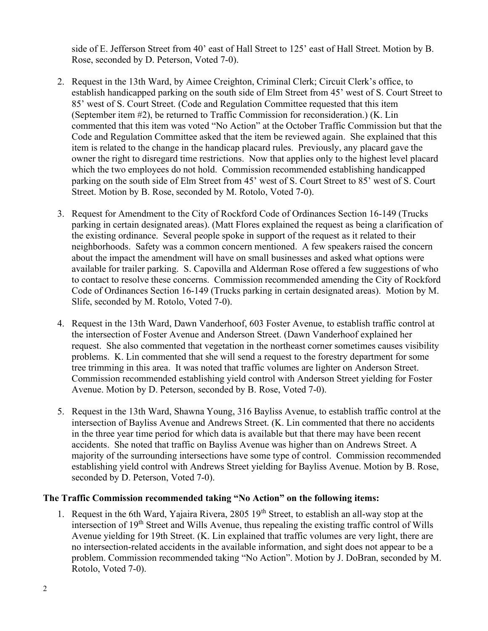side of E. Jefferson Street from 40' east of Hall Street to 125' east of Hall Street. Motion by B. Rose, seconded by D. Peterson, Voted 7-0).

- 2. Request in the 13th Ward, by Aimee Creighton, Criminal Clerk; Circuit Clerk's office, to establish handicapped parking on the south side of Elm Street from 45' west of S. Court Street to 85' west of S. Court Street. (Code and Regulation Committee requested that this item (September item #2), be returned to Traffic Commission for reconsideration.) (K. Lin commented that this item was voted "No Action" at the October Traffic Commission but that the Code and Regulation Committee asked that the item be reviewed again. She explained that this item is related to the change in the handicap placard rules. Previously, any placard gave the owner the right to disregard time restrictions. Now that applies only to the highest level placard which the two employees do not hold. Commission recommended establishing handicapped parking on the south side of Elm Street from 45' west of S. Court Street to 85' west of S. Court Street. Motion by B. Rose, seconded by M. Rotolo, Voted 7-0).
- 3. Request for Amendment to the City of Rockford Code of Ordinances Section 16-149 (Trucks parking in certain designated areas). (Matt Flores explained the request as being a clarification of the existing ordinance. Several people spoke in support of the request as it related to their neighborhoods. Safety was a common concern mentioned. A few speakers raised the concern about the impact the amendment will have on small businesses and asked what options were available for trailer parking. S. Capovilla and Alderman Rose offered a few suggestions of who to contact to resolve these concerns. Commission recommended amending the City of Rockford Code of Ordinances Section 16-149 (Trucks parking in certain designated areas). Motion by M. Slife, seconded by M. Rotolo, Voted 7-0).
- 4. Request in the 13th Ward, Dawn Vanderhoof, 603 Foster Avenue, to establish traffic control at the intersection of Foster Avenue and Anderson Street. (Dawn Vanderhoof explained her request. She also commented that vegetation in the northeast corner sometimes causes visibility problems. K. Lin commented that she will send a request to the forestry department for some tree trimming in this area. It was noted that traffic volumes are lighter on Anderson Street. Commission recommended establishing yield control with Anderson Street yielding for Foster Avenue. Motion by D. Peterson, seconded by B. Rose, Voted 7-0).
- 5. Request in the 13th Ward, Shawna Young, 316 Bayliss Avenue, to establish traffic control at the intersection of Bayliss Avenue and Andrews Street. (K. Lin commented that there no accidents in the three year time period for which data is available but that there may have been recent accidents. She noted that traffic on Bayliss Avenue was higher than on Andrews Street. A majority of the surrounding intersections have some type of control. Commission recommended establishing yield control with Andrews Street yielding for Bayliss Avenue. Motion by B. Rose, seconded by D. Peterson, Voted 7-0).

### The Traffic Commission recommended taking "No Action" on the following items:

1. Request in the 6th Ward, Yajaira Rivera,  $2805 \, 19^{th}$  Street, to establish an all-way stop at the intersection of 19<sup>th</sup> Street and Wills Avenue, thus repealing the existing traffic control of Wills Avenue yielding for 19th Street. (K. Lin explained that traffic volumes are very light, there are no intersection-related accidents in the available information, and sight does not appear to be a problem. Commission recommended taking "No Action". Motion by J. DoBran, seconded by M. Rotolo, Voted 7-0).